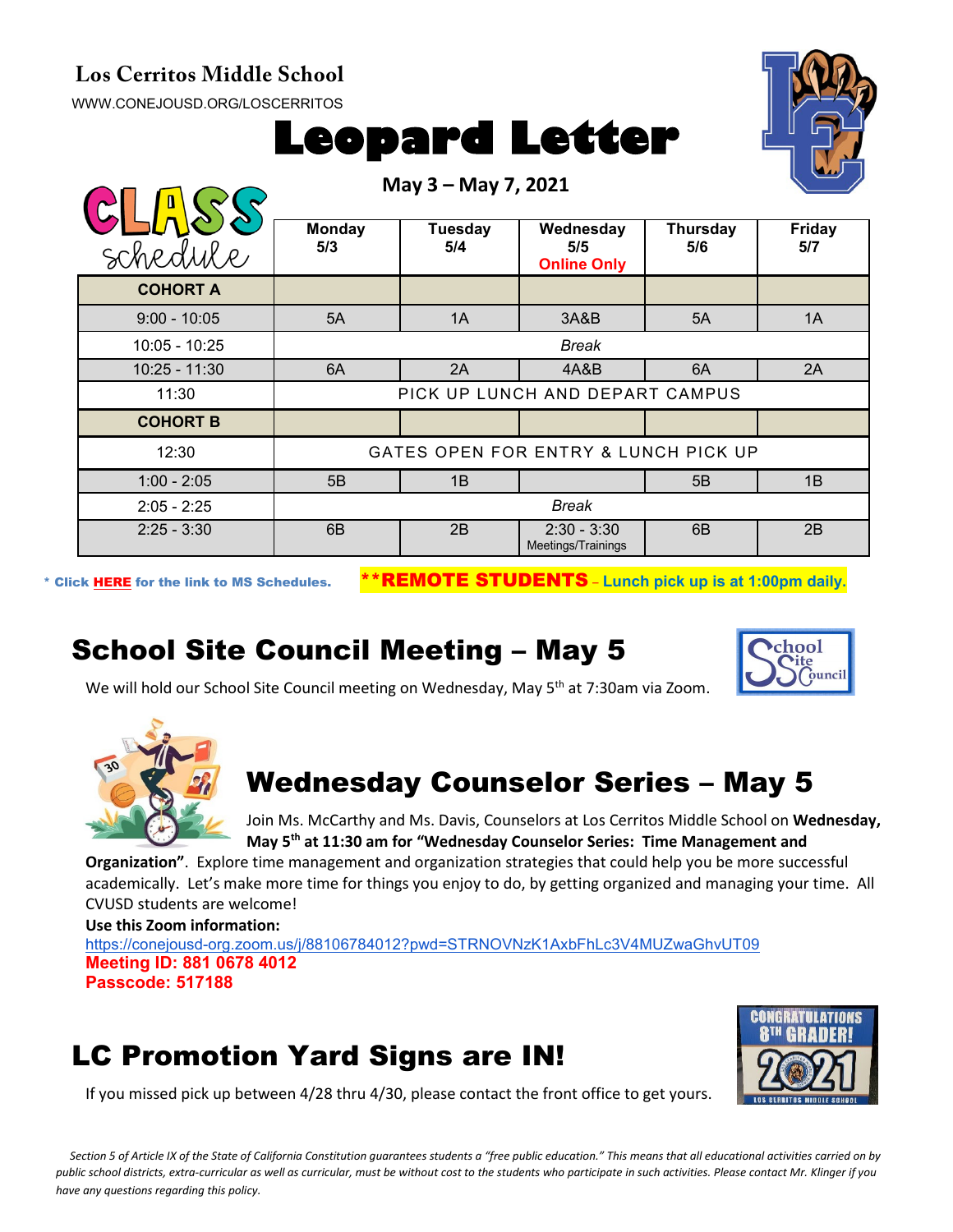#### **Los Cerritos Middle School**

[WWW.CONEJOUSD.ORG/LOSCERRITOS](http://www.conejousd.org/LOSCERRITOS)



**May 3 – May 7, 2021**



| schedule        | <b>Monday</b><br>5/3                 | Tuesday<br>5/4 | Wednesday<br>5/5<br><b>Online Only</b> | Thursday<br>5/6 | <b>Friday</b><br>5/7 |  |
|-----------------|--------------------------------------|----------------|----------------------------------------|-----------------|----------------------|--|
| <b>COHORT A</b> |                                      |                |                                        |                 |                      |  |
| $9:00 - 10:05$  | 5A                                   | 1A             | 3A&B                                   | 5A              | 1A                   |  |
| 10:05 - 10:25   | <b>Break</b>                         |                |                                        |                 |                      |  |
| $10:25 - 11:30$ | 6A                                   | 2A             | 4A&B                                   | 6A              | 2A                   |  |
| 11:30           | PICK UP LUNCH AND DEPART CAMPUS      |                |                                        |                 |                      |  |
| <b>COHORT B</b> |                                      |                |                                        |                 |                      |  |
| 12:30           | GATES OPEN FOR ENTRY & LUNCH PICK UP |                |                                        |                 |                      |  |
| $1:00 - 2:05$   | 5B                                   | 1B             |                                        | 5B              | 1B                   |  |
| $2:05 - 2:25$   | <b>Break</b>                         |                |                                        |                 |                      |  |
| $2:25 - 3:30$   | 6 <sub>B</sub>                       | 2B             | $2:30 - 3:30$<br>Meetings/Trainings    | 6 <sub>B</sub>  | 2B                   |  |

\* Click [HERE](https://www.conejousd.org/Portals/0/Middle%20School%20Monthly%20Calendar%20_FNLl.pdf?ver=2020-11-04-105638-860) for the link to MS Schedules. \*\*REMOTE STUDENTS – **Lunch pick up is at 1:00pm daily.**

### School Site Council Meeting – May 5



We will hold our School Site Council meeting on Wednesday, May 5<sup>th</sup> at 7:30am via Zoom.



# Wednesday Counselor Series – May 5

Join Ms. McCarthy and Ms. Davis, Counselors at Los Cerritos Middle School on **Wednesday, May 5th at 11:30 am for "Wednesday Counselor Series: Time Management and** 

**Organization"**. Explore time management and organization strategies that could help you be more successful academically. Let's make more time for things you enjoy to do, by getting organized and managing your time. All CVUSD students are welcome!

**Use this Zoom information:**

<https://conejousd-org.zoom.us/j/88106784012?pwd=STRNOVNzK1AxbFhLc3V4MUZwaGhvUT09> **Meeting ID: 881 0678 4012 Passcode: 517188**

# LC Promotion Yard Signs are IN!



If you missed pick up between 4/28 thru 4/30, please contact the front office to get yours.

*Section 5 of Article IX of the State of California Constitution guarantees students a "free public education." This means that all educational activities carried on by public school districts, extra-curricular as well as curricular, must be without cost to the students who participate in such activities. Please contact Mr. Klinger if you have any questions regarding this policy.*